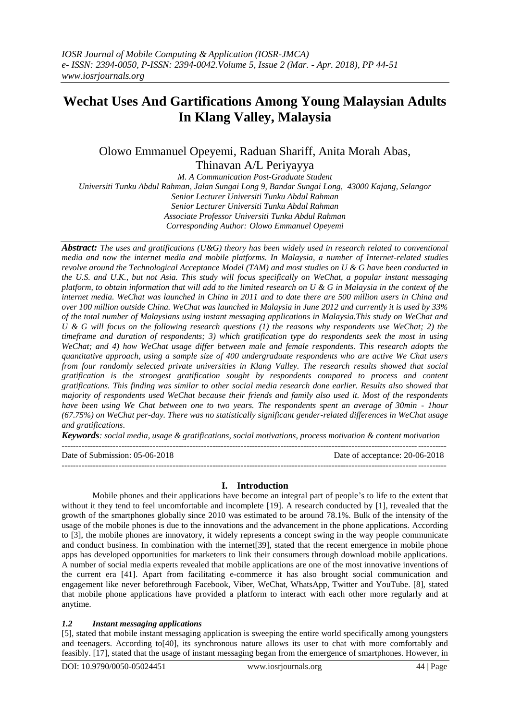# **Wechat Uses And Gartifications Among Young Malaysian Adults In Klang Valley, Malaysia**

## Olowo Emmanuel Opeyemi, Raduan Shariff, Anita Morah Abas, Thinavan A/L Periyayya

*M. A Communication Post-Graduate Student Universiti Tunku Abdul Rahman, Jalan Sungai Long 9, Bandar Sungai Long, 43000 Kajang, Selangor Senior Lecturer Universiti Tunku Abdul Rahman Senior Lecturer Universiti Tunku Abdul Rahman Associate Professor Universiti Tunku Abdul Rahman Corresponding Author: Olowo Emmanuel Opeyemi*

*Abstract: The uses and gratifications (U&G) theory has been widely used in research related to conventional media and now the internet media and mobile platforms. In Malaysia, a number of Internet-related studies revolve around the Technological Acceptance Model (TAM) and most studies on U & G have been conducted in the U.S. and U.K., but not Asia. This study will focus specifically on WeChat, a popular instant messaging platform, to obtain information that will add to the limited research on U & G in Malaysia in the context of the internet media. WeChat was launched in China in 2011 and to date there are 500 million users in China and over 100 million outside China. WeChat was launched in Malaysia in June 2012 and currently it is used by 33% of the total number of Malaysians using instant messaging applications in Malaysia.This study on WeChat and U & G will focus on the following research questions (1) the reasons why respondents use WeChat; 2) the timeframe and duration of respondents; 3) which gratification type do respondents seek the most in using WeChat; and 4) how WeChat usage differ between male and female respondents. This research adopts the quantitative approach, using a sample size of 400 undergraduate respondents who are active We Chat users from four randomly selected private universities in Klang Valley. The research results showed that social gratification is the strongest gratification sought by respondents compared to process and content gratifications. This finding was similar to other social media research done earlier. Results also showed that majority of respondents used WeChat because their friends and family also used it. Most of the respondents have been using We Chat between one to two years. The respondents spent an average of 30min - 1hour (67.75%) on WeChat per-day. There was no statistically significant gender-related differences in WeChat usage and gratifications*.

*Keywords: social media, usage & gratifications, social motivations, process motivation & content motivation* ---------------------------------------------------------------------------------------------------------------------------------------

Date of Submission: 05-06-2018 Date of acceptance: 20-06-2018 ---------------------------------------------------------------------------------------------------------------------------------------

### **I. Introduction**

Mobile phones and their applications have become an integral part of people"s to life to the extent that without it they tend to feel uncomfortable and incomplete [19]. A research conducted by [1], revealed that the growth of the smartphones globally since 2010 was estimated to be around 78.1%. Bulk of the intensity of the usage of the mobile phones is due to the innovations and the advancement in the phone applications. According to [3], the mobile phones are innovatory, it widely represents a concept swing in the way people communicate and conduct business. In combination with the internet[39], stated that the recent emergence in mobile phone apps has developed opportunities for marketers to link their consumers through download mobile applications. A number of social media experts revealed that mobile applications are one of the most innovative inventions of the current era [41]. Apart from facilitating e-commerce it has also brought social communication and engagement like never beforethrough Facebook, Viber, WeChat, WhatsApp, Twitter and YouTube. [8], stated that mobile phone applications have provided a platform to interact with each other more regularly and at anytime.

### *1.2 Instant messaging applications*

[5], stated that mobile instant messaging application is sweeping the entire world specifically among youngsters and teenagers. According to[40], its synchronous nature allows its user to chat with more comfortably and feasibly. [17], stated that the usage of instant messaging began from the emergence of smartphones. However, in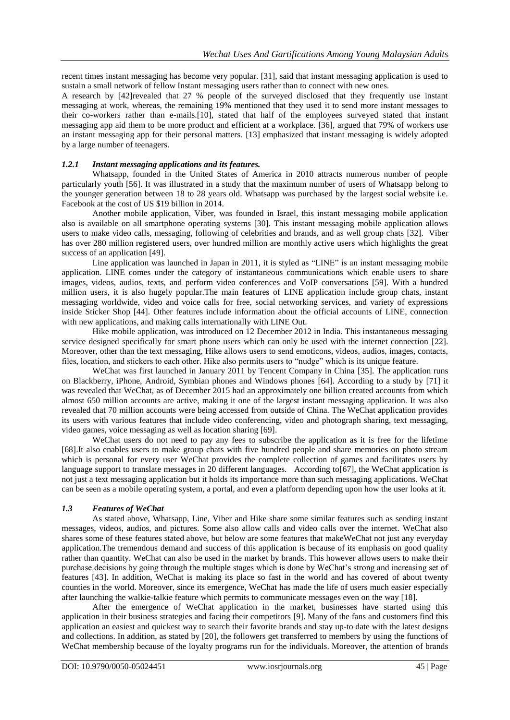recent times instant messaging has become very popular. [31], said that instant messaging application is used to sustain a small network of fellow Instant messaging users rather than to connect with new ones.

A research by [42]revealed that 27 % people of the surveyed disclosed that they frequently use instant messaging at work, whereas, the remaining 19% mentioned that they used it to send more instant messages to their co-workers rather than e-mails.[10], stated that half of the employees surveyed stated that instant messaging app aid them to be more product and efficient at a workplace. [36], argued that 79% of workers use an instant messaging app for their personal matters. [13] emphasized that instant messaging is widely adopted by a large number of teenagers.

### *1.2.1 Instant messaging applications and its features.*

Whatsapp, founded in the United States of America in 2010 attracts numerous number of people particularly youth [56]. It was illustrated in a study that the maximum number of users of Whatsapp belong to the younger generation between 18 to 28 years old. Whatsapp was purchased by the largest social website i.e. Facebook at the cost of US \$19 billion in 2014.

Another mobile application, Viber, was founded in Israel, this instant messaging mobile application also is available on all smartphone operating systems [30]. This instant messaging mobile application allows users to make video calls, messaging, following of celebrities and brands, and as well group chats [32]. Viber has over 280 million registered users, over hundred million are monthly active users which highlights the great success of an application [49].

Line application was launched in Japan in 2011, it is styled as "LINE" is an instant messaging mobile application. LINE comes under the category of instantaneous communications which enable users to share images, videos, audios, texts, and perform video conferences and VoIP conversations [59]. With a hundred million users, it is also hugely popular.The main features of LINE application include group chats, instant messaging worldwide, video and voice calls for free, social networking services, and variety of expressions inside Sticker Shop [44]. Other features include information about the official accounts of LINE, connection with new applications, and making calls internationally with LINE Out.

Hike mobile application, was introduced on 12 December 2012 in India. This instantaneous messaging service designed specifically for smart phone users which can only be used with the internet connection [22]. Moreover, other than the text messaging, Hike allows users to send emoticons, videos, audios, images, contacts, files, location, and stickers to each other. Hike also permits users to "nudge" which is its unique feature.

WeChat was first launched in January 2011 by Tencent Company in China [35]. The application runs on Blackberry, iPhone, Android, Symbian phones and Windows phones [64]. According to a study by [71] it was revealed that WeChat, as of December 2015 had an approximately one billion created accounts from which almost 650 million accounts are active, making it one of the largest instant messaging application. It was also revealed that 70 million accounts were being accessed from outside of China. The WeChat application provides its users with various features that include video conferencing, video and photograph sharing, text messaging, video games, voice messaging as well as location sharing [69].

WeChat users do not need to pay any fees to subscribe the application as it is free for the lifetime [68].It also enables users to make group chats with five hundred people and share memories on photo stream which is personal for every user WeChat provides the complete collection of games and facilitates users by language support to translate messages in 20 different languages. According to [67], the WeChat application is not just a text messaging application but it holds its importance more than such messaging applications. WeChat can be seen as a mobile operating system, a portal, and even a platform depending upon how the user looks at it.

### *1.3 Features of WeChat*

As stated above, Whatsapp, Line, Viber and Hike share some similar features such as sending instant messages, videos, audios, and pictures. Some also allow calls and video calls over the internet. WeChat also shares some of these features stated above, but below are some features that makeWeChat not just any everyday application.The tremendous demand and success of this application is because of its emphasis on good quality rather than quantity. WeChat can also be used in the market by brands. This however allows users to make their purchase decisions by going through the multiple stages which is done by WeChat"s strong and increasing set of features [43]. In addition, WeChat is making its place so fast in the world and has covered of about twenty counties in the world. Moreover, since its emergence, WeChat has made the life of users much easier especially after launching the walkie-talkie feature which permits to communicate messages even on the way [18].

After the emergence of WeChat application in the market, businesses have started using this application in their business strategies and facing their competitors [9]. Many of the fans and customers find this application an easiest and quickest way to search their favorite brands and stay up-to date with the latest designs and collections. In addition, as stated by [20], the followers get transferred to members by using the functions of WeChat membership because of the loyalty programs run for the individuals. Moreover, the attention of brands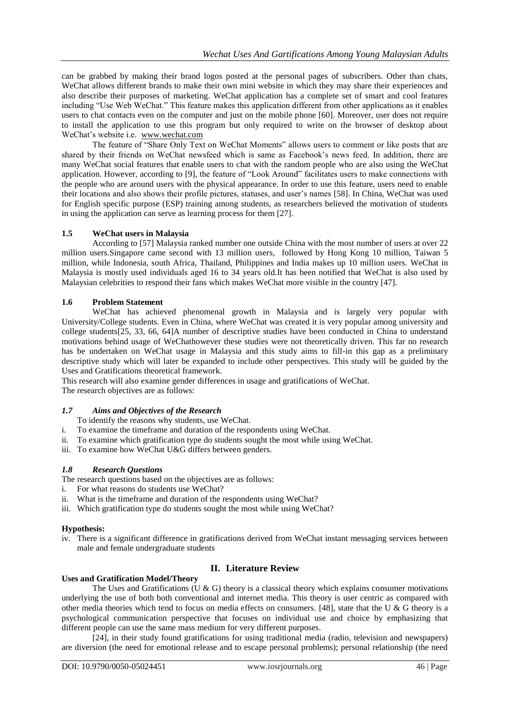can be grabbed by making their brand logos posted at the personal pages of subscribers. Other than chats, WeChat allows different brands to make their own mini website in which they may share their experiences and also describe their purposes of marketing. WeChat application has a complete set of smart and cool features including "Use Web WeChat." This feature makes this application different from other applications as it enables users to chat contacts even on the computer and just on the mobile phone [60]. Moreover, user does not require to install the application to use this program but only required to write on the browser of desktop about WeChat"s website i.e. [www.wechat.com](http://www.wechat.com/)

The feature of "Share Only Text on WeChat Moments" allows users to comment or like posts that are shared by their friends on WeChat newsfeed which is same as Facebook's news feed. In addition, there are many WeChat social features that enable users to chat with the random people who are also using the WeChat application. However, according to [9], the feature of "Look Around" facilitates users to make connections with the people who are around users with the physical appearance. In order to use this feature, users need to enable their locations and also shows their profile pictures, statuses, and user"s names [58]. In China, WeChat was used for English specific purpose (ESP) training among students, as researchers believed the motivation of students in using the application can serve as learning process for them [27].

### **1.5 WeChat users in Malaysia**

According to [57] Malaysia ranked number one outside China with the most number of users at over 22 million users.Singapore came second with 13 million users, followed by Hong Kong 10 million, Taiwan 5 million, while Indonesia, south Africa, Thailand, Philippines and India makes up 10 million users. WeChat in Malaysia is mostly used individuals aged 16 to 34 years old.It has been notified that WeChat is also used by Malaysian celebrities to respond their fans which makes WeChat more visible in the country [47].

### **1.6 Problem Statement**

WeChat has achieved phenomenal growth in Malaysia and is largely very popular with University/College students. Even in China, where WeChat was created it is very popular among university and college students[25, 33, 66, 64]A number of descriptive studies have been conducted in China to understand motivations behind usage of WeChathowever these studies were not theoretically driven. This far no research has be undertaken on WeChat usage in Malaysia and this study aims to fill-in this gap as a preliminary descriptive study which will later be expanded to include other perspectives. This study will be guided by the Uses and Gratifications theoretical framework.

This research will also examine gender differences in usage and gratifications of WeChat. The research objectives are as follows:

### *1.7 Aims and Objectives of the Research*

- To identify the reasons why students, use WeChat.
- i. To examine the timeframe and duration of the respondents using WeChat.
- ii. To examine which gratification type do students sought the most while using WeChat.
- iii. To examine how WeChat U&G differs between genders.

### *1.8 Research Questions*

- The research questions based on the objectives are as follows:
- i. For what reasons do students use WeChat?
- ii. What is the timeframe and duration of the respondents using WeChat?
- iii. Which gratification type do students sought the most while using WeChat?

### **Hypothesis:**

iv. There is a significant difference in gratifications derived from WeChat instant messaging services between male and female undergraduate students

### **II. Literature Review**

#### **Uses and Gratification Model/Theory**

The Uses and Gratifications (U & G) theory is a classical theory which explains consumer motivations underlying the use of both both conventional and internet media. This theory is user centric as compared with other media theories which tend to focus on media effects on consumers. [48], state that the U & G theory is a psychological communication perspective that focuses on individual use and choice by emphasizing that different people can use the same mass medium for very different purposes.

[24], in their study found gratifications for using traditional media (radio, television and newspapers) are diversion (the need for emotional release and to escape personal problems); personal relationship (the need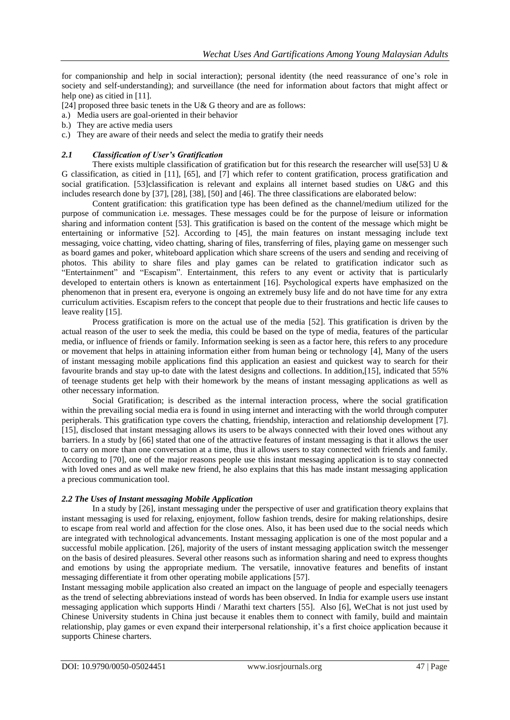for companionship and help in social interaction); personal identity (the need reassurance of one"s role in society and self-understanding); and surveillance (the need for information about factors that might affect or help one) as citied in [11].

- [24] proposed three basic tenets in the U& G theory and are as follows:
- a.) Media users are goal-oriented in their behavior
- b.) They are active media users
- c.) They are aware of their needs and select the media to gratify their needs

### *2.1 Classification of User's Gratification*

There exists multiple classification of gratification but for this research the researcher will use[53] U  $\&$ G classification, as citied in [11], [65], and [7] which refer to content gratification, process gratification and social gratification. [53]classification is relevant and explains all internet based studies on U&G and this includes research done by [37], [28], [38], [50] and [46]. The three classifications are elaborated below:

Content gratification: this gratification type has been defined as the channel/medium utilized for the purpose of communication i.e. messages. These messages could be for the purpose of leisure or information sharing and information content [53]. This gratification is based on the content of the message which might be entertaining or informative [52]. According to [45], the main features on instant messaging include text messaging, voice chatting, video chatting, sharing of files, transferring of files, playing game on messenger such as board games and poker, whiteboard application which share screens of the users and sending and receiving of photos. This ability to share files and play games can be related to gratification indicator such as "Entertainment" and "Escapism". Entertainment, this refers to any event or activity that is particularly developed to entertain others is known as entertainment [16]. Psychological experts have emphasized on the phenomenon that in present era, everyone is ongoing an extremely busy life and do not have time for any extra curriculum activities. Escapism refers to the concept that people due to their frustrations and hectic life causes to leave reality [15].

Process gratification is more on the actual use of the media [52]. This gratification is driven by the actual reason of the user to seek the media, this could be based on the type of media, features of the particular media, or influence of friends or family. Information seeking is seen as a factor here, this refers to any procedure or movement that helps in attaining information either from human being or technology [4], Many of the users of instant messaging mobile applications find this application an easiest and quickest way to search for their favourite brands and stay up-to date with the latest designs and collections. In addition,[15], indicated that 55% of teenage students get help with their homework by the means of instant messaging applications as well as other necessary information.

Social Gratification; is described as the internal interaction process, where the social gratification within the prevailing social media era is found in using internet and interacting with the world through computer peripherals. This gratification type covers the chatting, friendship, interaction and relationship development [7]. [15], disclosed that instant messaging allows its users to be always connected with their loved ones without any barriers. In a study by [66] stated that one of the attractive features of instant messaging is that it allows the user to carry on more than one conversation at a time, thus it allows users to stay connected with friends and family. According to [70], one of the major reasons people use this instant messaging application is to stay connected with loved ones and as well make new friend, he also explains that this has made instant messaging application a precious communication tool.

### *2.2 The Uses of Instant messaging Mobile Application*

In a study by [26], instant messaging under the perspective of user and gratification theory explains that instant messaging is used for relaxing, enjoyment, follow fashion trends, desire for making relationships, desire to escape from real world and affection for the close ones. Also, it has been used due to the social needs which are integrated with technological advancements. Instant messaging application is one of the most popular and a successful mobile application. [26], majority of the users of instant messaging application switch the messenger on the basis of desired pleasures. Several other reasons such as information sharing and need to express thoughts and emotions by using the appropriate medium. The versatile, innovative features and benefits of instant messaging differentiate it from other operating mobile applications [57].

Instant messaging mobile application also created an impact on the language of people and especially teenagers as the trend of selecting abbreviations instead of words has been observed. In India for example users use instant messaging application which supports Hindi / Marathi text charters [55]. Also [6], WeChat is not just used by Chinese University students in China just because it enables them to connect with family, build and maintain relationship, play games or even expand their interpersonal relationship, it"s a first choice application because it supports Chinese charters.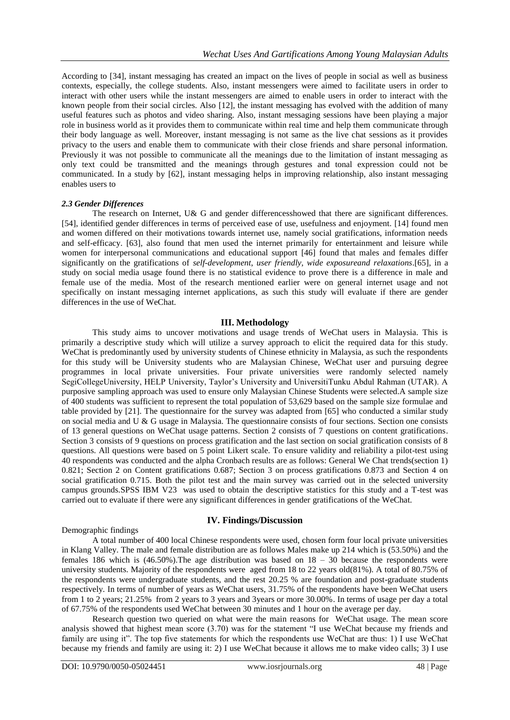According to [34], instant messaging has created an impact on the lives of people in social as well as business contexts, especially, the college students. Also, instant messengers were aimed to facilitate users in order to interact with other users while the instant messengers are aimed to enable users in order to interact with the known people from their social circles. Also [12], the instant messaging has evolved with the addition of many useful features such as photos and video sharing. Also, instant messaging sessions have been playing a major role in business world as it provides them to communicate within real time and help them communicate through their body language as well. Moreover, instant messaging is not same as the live chat sessions as it provides privacy to the users and enable them to communicate with their close friends and share personal information. Previously it was not possible to communicate all the meanings due to the limitation of instant messaging as only text could be transmitted and the meanings through gestures and tonal expression could not be communicated. In a study by [62], instant messaging helps in improving relationship, also instant messaging enables users to

#### *2.3 Gender Differences*

The research on Internet, U& G and gender differencesshowed that there are significant differences. [54], identified gender differences in terms of perceived ease of use, usefulness and enjoyment. [14] found men and women differed on their motivations towards internet use, namely social gratifications, information needs and self-efficacy. [63], also found that men used the internet primarily for entertainment and leisure while women for interpersonal communications and educational support [46] found that males and females differ significantly on the gratifications of *self-development*, *user friendly, wide exposureand relaxations*.[65], in a study on social media usage found there is no statistical evidence to prove there is a difference in male and female use of the media. Most of the research mentioned earlier were on general internet usage and not specifically on instant messaging internet applications, as such this study will evaluate if there are gender differences in the use of WeChat.

### **III. Methodology**

This study aims to uncover motivations and usage trends of WeChat users in Malaysia. This is primarily a descriptive study which will utilize a survey approach to elicit the required data for this study. WeChat is predominantly used by university students of Chinese ethnicity in Malaysia, as such the respondents for this study will be University students who are Malaysian Chinese, WeChat user and pursuing degree programmes in local private universities. Four private universities were randomly selected namely SegiCollegeUniversity, HELP University, Taylor"s University and UniversitiTunku Abdul Rahman (UTAR). A purposive sampling approach was used to ensure only Malaysian Chinese Students were selected.A sample size of 400 students was sufficient to represent the total population of 53,629 based on the sample size formulae and table provided by [21]. The questionnaire for the survey was adapted from [65] who conducted a similar study on social media and U & G usage in Malaysia. The questionnaire consists of four sections. Section one consists of 13 general questions on WeChat usage patterns. Section 2 consists of 7 questions on content gratifications. Section 3 consists of 9 questions on process gratification and the last section on social gratification consists of 8 questions. All questions were based on 5 point Likert scale. To ensure validity and reliability a pilot-test using 40 respondents was conducted and the alpha Cronbach results are as follows: General We Chat trends(section 1) 0.821; Section 2 on Content gratifications 0.687; Section 3 on process gratifications 0.873 and Section 4 on social gratification 0.715. Both the pilot test and the main survey was carried out in the selected university campus grounds.SPSS IBM V23 was used to obtain the descriptive statistics for this study and a T-test was carried out to evaluate if there were any significant differences in gender gratifications of the WeChat.

### Demographic findings

#### **IV. Findings/Discussion**

A total number of 400 local Chinese respondents were used, chosen form four local private universities in Klang Valley. The male and female distribution are as follows Males make up 214 which is (53.50%) and the females 186 which is  $(46.50\%)$ . The age distribution was based on  $18 - 30$  because the respondents were university students. Majority of the respondents were aged from 18 to 22 years old(81%). A total of 80.75% of the respondents were undergraduate students, and the rest 20.25 % are foundation and post-graduate students respectively. In terms of number of years as WeChat users, 31.75% of the respondents have been WeChat users from 1 to 2 years; 21.25% from 2 years to 3 years and 3years or more 30.00%. In terms of usage per day a total of 67.75% of the respondents used WeChat between 30 minutes and 1 hour on the average per day.

Research question two queried on what were the main reasons for WeChat usage. The mean score analysis showed that highest mean score (3.70) was for the statement "I use WeChat because my friends and family are using it". The top five statements for which the respondents use WeChat are thus: 1) I use WeChat because my friends and family are using it: 2) I use WeChat because it allows me to make video calls; 3) I use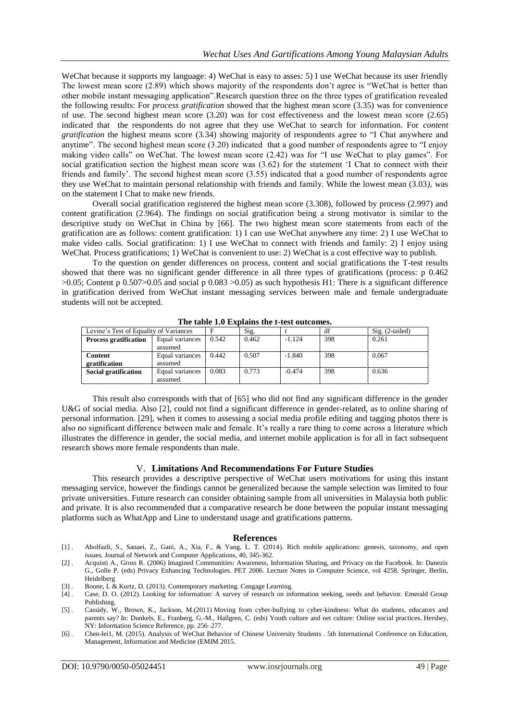WeChat because it supports my language: 4) WeChat is easy to asses: 5) I use WeChat because its user friendly The lowest mean score (2.89) which shows majority of the respondents don"t agree is "WeChat is better than other mobile instant messaging application".Research question three on the three types of gratification revealed the following results: For *process gratification* showed that the highest mean score (3.35) was for convenience of use. The second highest mean score (3.20) was for cost effectiveness and the lowest mean score (2.65) indicated that the respondents do not agree that they use WeChat to search for information. For *content gratification* the highest means score (3.34) showing majority of respondents agree to "I Chat anywhere and anytime". The second highest mean score (3.20) indicated that a good number of respondents agree to "I enjoy making video calls" on WeChat. The lowest mean score (2.42) was for "I use WeChat to play games". For social gratification section the highest mean score was  $(3.62)$  for the statement 'I Chat to connect with their friends and family'. The second highest mean score  $(3.55)$  indicated that a good number of respondents agree they use WeChat to maintain personal relationship with friends and family. While the lowest mean (3.03*),* was on the statement I Chat to make new friends.

Overall social gratification registered the highest mean score (3.308), followed by process (2.997) and content gratification (2.964). The findings on social gratification being a strong motivator is similar to the descriptive study on WeChat in China by [66]. The two highest mean score statements from each of the gratification are as follows: content gratification: 1) I can use WeChat anywhere any time: 2) I use WeChat to make video calls. Social gratification: 1) I use WeChat to connect with friends and family: 2) I enjoy using WeChat. Process gratifications; 1) WeChat is convenient to use: 2) WeChat is a cost effective way to publish.

To the question on gender differences on process, content and social gratifications the T-test results showed that there was no significant gender difference in all three types of gratifications (process: p 0.462 >0.05; Content p 0.507>0.05 and social p 0.083 >0.05) as such hypothesis H1: There is a significant difference in gratification derived from WeChat instant messaging services between male and female undergraduate students will not be accepted.

| Levine's Test of Equality of Variances |                 | Е     | Sig.  |          | df  | $Sig. (2-tailed)$ |
|----------------------------------------|-----------------|-------|-------|----------|-----|-------------------|
| <b>Process gratification</b>           | Equal variances | 0.542 | 0.462 | $-1.124$ | 398 | 0.261             |
|                                        | assumed         |       |       |          |     |                   |
| Content                                | Equal variances | 0.442 | 0.507 | $-1.840$ | 398 | 0.067             |
| gratification                          | assumed         |       |       |          |     |                   |
| <b>Social gratification</b>            | Equal variances | 0.083 | 0.773 | $-0.474$ | 398 | 0.636             |
|                                        | assumed         |       |       |          |     |                   |

**The table 1.0 Explains the t-test outcomes.**

This result also corresponds with that of [65] who did not find any significant difference in the gender U&G of social media. Also [2], could not find a significant difference in gender-related, as to online sharing of personal information. [29], when it comes to assessing a social media profile editing and tagging photos there is also no significant difference between male and female. It's really a rare thing to come across a literature which illustrates the difference in gender, the social media, and internet mobile application is for all in fact subsequent research shows more female respondents than male.

### V. **Limitations And Recommendations For Future Studies**

This research provides a descriptive perspective of WeChat users motivations for using this instant messaging service, however the findings cannot be generalized because the sample selection was limited to four private universities. Future research can consider obtaining sample from all universities in Malaysia both public and private. It is also recommended that a comparative research be done between the popular instant messaging platforms such as WhatApp and Line to understand usage and gratifications patterns.

#### **References**

- [1] . Abolfazli, S., Sanaei, Z., Gani, A., Xia, F., & Yang, L. T. (2014). Rich mobile applications: genesis, taxonomy, and open issues. Journal of Network and Computer Applications, 40, 345-362.
- [2] . Acquisti A., Gross R. (2006) Imagined Communities: Awareness, Information Sharing, and Privacy on the Facebook. In: Danezis G., Golle P. (eds) Privacy Enhancing Technologies. PET 2006. Lecture Notes in Computer Science, vol 4258. Springer, Berlin, Heidelberg
- [3] . Boone, L & Kurtz, D. (2013). Contemporary marketing. Cengage Learning.
- [4] . Case, D. O. (2012). Looking for information: A survey of research on information seeking, needs and behavior. Emerald Group Publishing.
- [5] . Cassidy, W., Brown, K., Jackson, M.(2011) Moving from cyber-bullying to cyber-kindness: What do students, educators and parents say? In: Dunkels, E., Franberg, G.-M., Hallgren, C. (eds) Youth culture and net culture: Online social practices, Hershey, NY: Information Science Reference, pp. 256–277.
- [6] . Chen-lei1, M. (2015). Analysis of WeChat Behavior of Chinese University Students . 5th International Conference on Education, Management, Information and Medicine (EMIM 2015.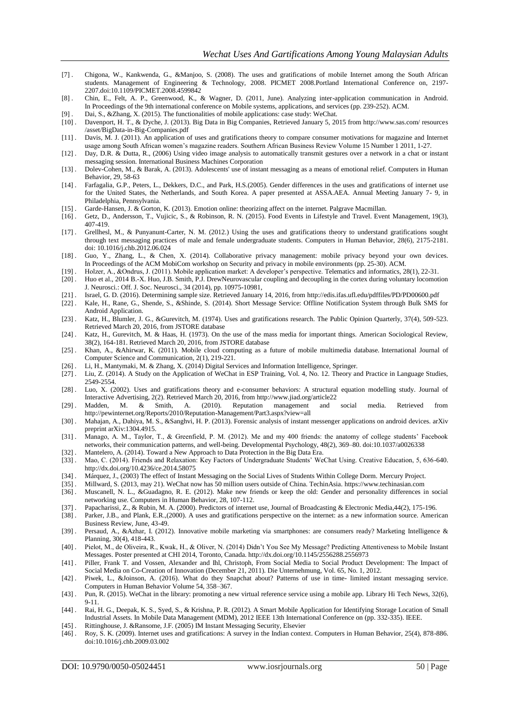- [7] . Chigona, W., Kankwenda, G., &Manjoo, S. (2008). The uses and gratifications of mobile Internet among the South African students. Management of Engineering & Technology, 2008. PICMET 2008.Portland International Conference on, 2197- 2207.doi:10.1109/PICMET.2008.4599842
- [8] . Chin, E., Felt, A. P., Greenwood, K., & Wagner, D. (2011, June). Analyzing inter-application communication in Android. In Proceedings of the 9th international conference on Mobile systems, applications, and services (pp. 239-252). ACM.
- [9] . Dai, S., &Zhang, X. (2015). The functionalities of mobile applications: case study: WeChat.
- [10] . Davenport, H. T., & Dyche, J. (2013). Big Data in Big Companies, Retrieved January 5, 2015 from http://www.sas.com/ resources /asset/BigData-in-Big-Companies.pdf
- [11] . Davis, M. J. (2011). An application of uses and gratifications theory to compare consumer motivations for magazine and Internet usage among South African women"s magazine readers. Southern African Business Review Volume 15 Number 1 2011, 1-27.
- [12] . Day, D.R. & Dutta, R., (2006) Using video image analysis to automatically transmit gestures over a network in a chat or instant messaging session. International Business Machines Corporation
- [13] . Dolev-Cohen, M., & Barak, A. (2013). Adolescents' use of instant messaging as a means of emotional relief. Computers in Human Behavior, 29, 58-63
- [14] . Farfagalia, G.P., Peters, L., Dekkers, D.C., and Park, H.S.(2005). Gender differences in the uses and gratifications of internet use for the United States, the Netherlands, and South Korea. A paper presented at ASSA.AEA. Annual Meeting January 7- 9, in Philadelphia, Pennsylvania.
- [15] . Garde-Hansen, J. & Gorton, K. (2013). Emotion online: theorizing affect on the internet. Palgrave Macmillan.
- [16] . Getz, D., Andersson, T., Vujicic, S., & Robinson, R. N. (2015). Food Events in Lifestyle and Travel. Event Management, 19(3), 407-419.
- [17] . Grellhesl, M., & Punyanunt-Carter, N. M. (2012.) Using the uses and gratifications theory to understand gratifications sought through text messaging practices of male and female undergraduate students. Computers in Human Behavior, 28(6), 2175-2181. doi: 10.1016/j.chb.2012.06.024
- [18] . Guo, Y., Zhang, L., & Chen, X. (2014). Collaborative privacy management: mobile privacy beyond your own devices. In Proceedings of the ACM MobiCom workshop on Security and privacy in mobile environments (pp. 25-30). ACM.
- [19] . Holzer, A., &Ondrus, J. (2011). Mobile application market: A developer"s perspective. Telematics and informatics, 28(1), 22-31.
- [20] . [Huo et al., 2014](https://www.sciencedirect.com/science/article/pii/S1053811916306875#bbib117) B.-X. Huo, J.B. Smith, P.J. DrewNeurovascular coupling and decoupling in the cortex during voluntary locomotion J. Neurosci.: Off. J. Soc. Neurosci., 34 (2014), pp. 10975-10981,
- [21] . Israel, G. D. (2016). Determining sample size. Retrieved January 14, 2016, fro[m http://edis.ifas.ufl.edu/pdffiles/PD/PD00600.pdf](http://edis.ifas.ufl.edu/pdffiles/PD/PD00600.pdf)
- [22] . Kale, H., Rane, G., Shende, S., &Shinde, S. (2014). Short Message Service: Offline Notification System through Bulk SMS for Android Application.
- [23] . Katz, H., Blumler, J. G., &Gurevitch, M. (1974). Uses and gratifications research. The Public Opinion Quarterly, 37(4), 509-523. Retrieved March 20, 2016, from JSTORE database
- [24] . Katz, H., Gurevitch, M. & Haas, H. (1973). On the use of the mass media for important things. American Sociological Review, 38(2), 164-181. Retrieved March 20, 2016, from JSTORE database
- [25] . Khan, A., &Ahirwar, K. (2011). Mobile cloud computing as a future of mobile multimedia database. International Journal of Computer Science and Communication, 2(1), 219-221.
- [26] . Li, H., Mantymaki, M. & Zhang, X. (2014) Digital Services and Information Intelligence, Springer.
- [27] . Liu, Z. (2014). A Study on the Application of WeChat in ESP Training, Vol. 4, No. 12. Theory and Practice in Language Studies, 2549-2554.
- [28] . Luo, X. (2002). Uses and gratifications theory and e-consumer behaviors: A structural equation modelling study. Journal of Interactive Advertising, 2(2). Retrieved March 20, 2016, from<http://www.jiad.org/article22>
- [29] . Madden, M. & Smith, A. (2010). Reputation management and social media. Retrieved from <http://pewinternet.org/Reports/2010/Reputation-Management/Part3.aspx?view=all>
- [30] . Mahajan, A., Dahiya, M. S., &Sanghvi, H. P. (2013). Forensic analysis of instant messenger applications on android devices. arXiv preprint arXiv:1304.4915.
- [31] . Manago, A. M., Taylor, T., & Greenfield, P. M. (2012). Me and my 400 friends: the anatomy of college students' Facebook networks, their communication patterns, and well-being. Developmental Psychology, 48(2), 369–80. doi:10.1037/a0026338
- [32] . Mantelero, A. (2014). Toward a New Approach to Data Protection in the Big Data Era.
- [33] . Mao, C. (2014). Friends and Relaxation: Key Factors of Undergraduate Students" WeChat Using. Creative Education, 5, 636-640. http://dx.doi.org/10.4236/ce.2014.58075
- [34] . Márquez, J., (2003) The effect of Instant Messaging on the Social Lives of Students Within College Dorm. Mercury Project.
- [35] . Millward, S. (2013, may 21). WeChat now has 50 million users outside of China. TechinAsia. https://www.techinasian.com
- [36] . Muscanell, N. L., &Guadagno, R. E. (2012). Make new friends or keep the old: Gender and personality differences in social networking use. Computers in Human Behavior, 28, 107-112.
- [37] . Papacharissi, Z., & Rubin, M. A. (2000). Predictors of internet use, Journal of Broadcasting & Electronic Media,44(2), 175-196. [38] . Parker, J.B., and Plank, E.R.,(2000). A uses and gratifications perspective on the internet: as a new information source. American
- Business Review, June, 43-49.
- [39] . Persaud, A., &Azhar, I. (2012). Innovative mobile marketing via smartphones: are consumers ready? Marketing Intelligence & Planning, 30(4), 418-443.
- [40] . Pielot, M., de Oliveira, R., Kwak, H., & Oliver, N. (2014) Didn"t You See My Message? Predicting Attentiveness to Mobile Instant Messages. Poster presented at CHI 2014, Toronto, Canada. http://dx.doi.org/10.1145/2556288.2556973
- [41] . Piller, Frank T. and Vossen, Alexander and Ihl, Christoph, From Social Media to Social Product Development: The Impact of Social Media on Co-Creation of Innovation (December 21, 2011). Die Unternehmung, Vol. 65, No. 1, 2012.
- [42] . Piwek, L., &Joinson, A. (2016). What do they Snapchat about? Patterns of use in time- limited instant messaging service. Computers in Human Behavior Volume 54, 358–367.
- [43] . Pun, R. (2015). WeChat in the library: promoting a new virtual reference service using a mobile app. Library Hi Tech News, 32(6), 9-11.
- [44] . Rai, H. G., Deepak, K. S., Syed, S., & Krishna, P. R. (2012). A Smart Mobile Application for Identifying Storage Location of Small Industrial Assets. In Mobile Data Management (MDM), 2012 IEEE 13th International Conference on (pp. 332-335). IEEE.
- [45] . Rittinghouse, J. &Ransome, J.F. (2005) IM Instant Messaging Security, Elsevier
- [46] . Roy, S. K. (2009). Internet uses and gratifications: A survey in the Indian context. Computers in Human Behavior, 25(4), 878-886. doi:10.1016/j.chb.2009.03.002